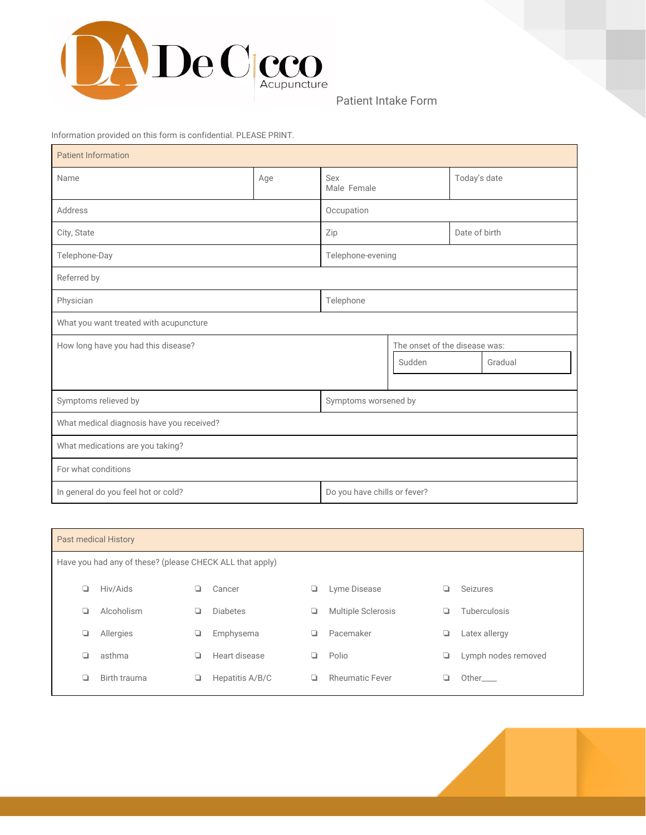

Patient Intake Form

Information provided on this form is confidential. PLEASE PRINT.

| <b>Patient Information</b>                |                              |                               |        |               |         |  |  |
|-------------------------------------------|------------------------------|-------------------------------|--------|---------------|---------|--|--|
| Name                                      | Age                          | Sex<br>Male Female            |        | Today's date  |         |  |  |
| Address                                   |                              | Occupation                    |        |               |         |  |  |
| City, State                               |                              | Zip                           |        | Date of birth |         |  |  |
| Telephone-Day                             | Telephone-evening            |                               |        |               |         |  |  |
| Referred by                               |                              |                               |        |               |         |  |  |
| Physician                                 | Telephone                    |                               |        |               |         |  |  |
| What you want treated with acupuncture    |                              |                               |        |               |         |  |  |
| How long have you had this disease?       |                              | The onset of the disease was: |        |               |         |  |  |
|                                           |                              |                               | Sudden |               | Gradual |  |  |
|                                           |                              |                               |        |               |         |  |  |
| Symptoms relieved by                      |                              | Symptoms worsened by          |        |               |         |  |  |
| What medical diagnosis have you received? |                              |                               |        |               |         |  |  |
| What medications are you taking?          |                              |                               |        |               |         |  |  |
| For what conditions                       |                              |                               |        |               |         |  |  |
| In general do you feel hot or cold?       | Do you have chills or fever? |                               |        |               |         |  |  |

| <b>Past medical History</b>                              |              |   |                 |   |                        |   |                     |  |
|----------------------------------------------------------|--------------|---|-----------------|---|------------------------|---|---------------------|--|
| Have you had any of these? (please CHECK ALL that apply) |              |   |                 |   |                        |   |                     |  |
| ❏                                                        | Hiv/Aids     |   | Cancer          | ❏ | Lyme Disease           | ப | Seizures            |  |
| ❏                                                        | Alcoholism   | ⊔ | <b>Diabetes</b> | ❏ | Multiple Sclerosis     | ப | Tuberculosis        |  |
| ❏                                                        | Allergies    | ┙ | Emphysema       | ▫ | Pacemaker              | ┙ | Latex allergy       |  |
| ❏                                                        | asthma       | ❏ | Heart disease   | ❏ | Polio                  | ❏ | Lymph nodes removed |  |
| ❏                                                        | Birth trauma | ❏ | Hepatitis A/B/C | ◘ | <b>Rheumatic Fever</b> |   | Other____           |  |
|                                                          |              |   |                 |   |                        |   |                     |  |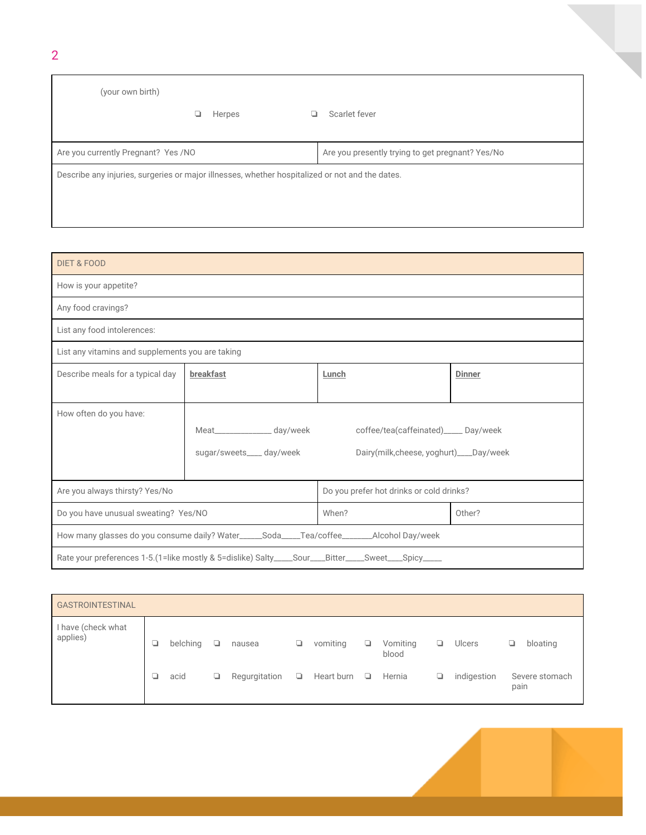| (your own birth)                                                                                |  |        |  |                                                  |  |  |  |
|-------------------------------------------------------------------------------------------------|--|--------|--|--------------------------------------------------|--|--|--|
|                                                                                                 |  | Herpes |  | Scarlet fever                                    |  |  |  |
| Are you currently Pregnant? Yes /NO                                                             |  |        |  | Are you presently trying to get pregnant? Yes/No |  |  |  |
| Describe any injuries, surgeries or major illnesses, whether hospitalized or not and the dates. |  |        |  |                                                  |  |  |  |
|                                                                                                 |  |        |  |                                                  |  |  |  |

| <b>DIET &amp; FOOD</b>                                  |                                                                                                   |                                          |               |  |  |  |  |
|---------------------------------------------------------|---------------------------------------------------------------------------------------------------|------------------------------------------|---------------|--|--|--|--|
| How is your appetite?                                   |                                                                                                   |                                          |               |  |  |  |  |
| Any food cravings?                                      |                                                                                                   |                                          |               |  |  |  |  |
| List any food intolerences:                             |                                                                                                   |                                          |               |  |  |  |  |
| List any vitamins and supplements you are taking        |                                                                                                   |                                          |               |  |  |  |  |
| Describe meals for a typical day                        | breakfast                                                                                         | Lunch                                    | <b>Dinner</b> |  |  |  |  |
|                                                         |                                                                                                   |                                          |               |  |  |  |  |
| How often do you have:                                  |                                                                                                   |                                          |               |  |  |  |  |
|                                                         | Meat__________________ day/week                                                                   | coffee/tea(caffeinated)_____ Day/week    |               |  |  |  |  |
|                                                         | sugar/sweets____ day/week                                                                         | Dairy(milk, cheese, yoghurt)____Day/week |               |  |  |  |  |
|                                                         |                                                                                                   |                                          |               |  |  |  |  |
| Are you always thirsty? Yes/No                          |                                                                                                   | Do you prefer hot drinks or cold drinks? |               |  |  |  |  |
| When?<br>Do you have unusual sweating? Yes/NO<br>Other? |                                                                                                   |                                          |               |  |  |  |  |
|                                                         | How many glasses do you consume daily? Water_____Soda____Tea/coffee_______Alcohol Day/week        |                                          |               |  |  |  |  |
|                                                         | Rate your preferences 1-5.(1=like mostly & 5=dislike) Salty____Sour___Bitter____Sweet___Spicy____ |                                          |               |  |  |  |  |

| <b>GASTROINTESTINAL</b>        |   |          |        |               |    |            |    |                   |   |               |                        |
|--------------------------------|---|----------|--------|---------------|----|------------|----|-------------------|---|---------------|------------------------|
| I have (check what<br>applies) | ❏ | belching | $\Box$ | nausea        | ❏  | vomiting   | ▫  | Vomiting<br>blood | ▫ | <b>Ulcers</b> | bloating<br>┙          |
|                                |   | acid     | ❏      | Regurgitation | Q. | Heart burn | O. | Hernia            | ⋼ | indigestion   | Severe stomach<br>pain |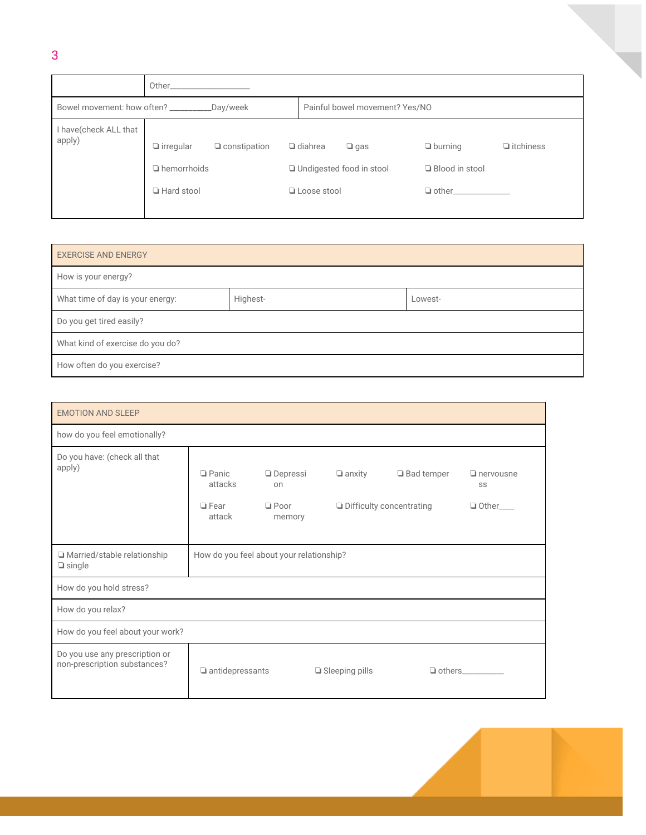|                                                    | Other                                  |                     |  |                                                            |                                    |                  |
|----------------------------------------------------|----------------------------------------|---------------------|--|------------------------------------------------------------|------------------------------------|------------------|
| Bowel movement: how often? _______________Day/week |                                        |                     |  | Painful bowel movement? Yes/NO                             |                                    |                  |
| I have(check ALL that<br>apply)                    | $\Box$ irregular<br>$\Box$ hemorrhoids | $\Box$ constipation |  | $\Box$ diahrea<br>$\Box$ gas<br>□ Undigested food in stool | $\Box$ burning<br>□ Blood in stool | $\Box$ itchiness |
|                                                    | □ Hard stool                           |                     |  | □ Loose stool                                              | $\Box$ other                       |                  |

| <b>EXERCISE AND ENERGY</b>       |          |         |  |  |  |  |
|----------------------------------|----------|---------|--|--|--|--|
| How is your energy?              |          |         |  |  |  |  |
| What time of day is your energy: | Highest- | Lowest- |  |  |  |  |
| Do you get tired easily?         |          |         |  |  |  |  |
| What kind of exercise do you do? |          |         |  |  |  |  |
| How often do you exercise?       |          |         |  |  |  |  |

| <b>EMOTION AND SLEEP</b>                                       |                                          |                       |                       |                                 |                        |  |  |
|----------------------------------------------------------------|------------------------------------------|-----------------------|-----------------------|---------------------------------|------------------------|--|--|
| how do you feel emotionally?                                   |                                          |                       |                       |                                 |                        |  |  |
| Do you have: (check all that<br>apply)                         | $\Box$ Panic<br>attacks                  | $\Box$ Depressi<br>on | $\Box$ anxity         | □ Bad temper                    | $\Box$ nervousne<br>SS |  |  |
|                                                                | $\Box$ Fear<br>attack                    | $\Box$ Poor<br>memory |                       | $\Box$ Difficulty concentrating | $\Box$ Other           |  |  |
| □ Married/stable relationship<br>$\Box$ single                 | How do you feel about your relationship? |                       |                       |                                 |                        |  |  |
| How do you hold stress?                                        |                                          |                       |                       |                                 |                        |  |  |
| How do you relax?                                              |                                          |                       |                       |                                 |                        |  |  |
| How do you feel about your work?                               |                                          |                       |                       |                                 |                        |  |  |
| Do you use any prescription or<br>non-prescription substances? | $\Box$ antidepressants                   |                       | $\Box$ Sleeping pills | $\Box$ others                   |                        |  |  |

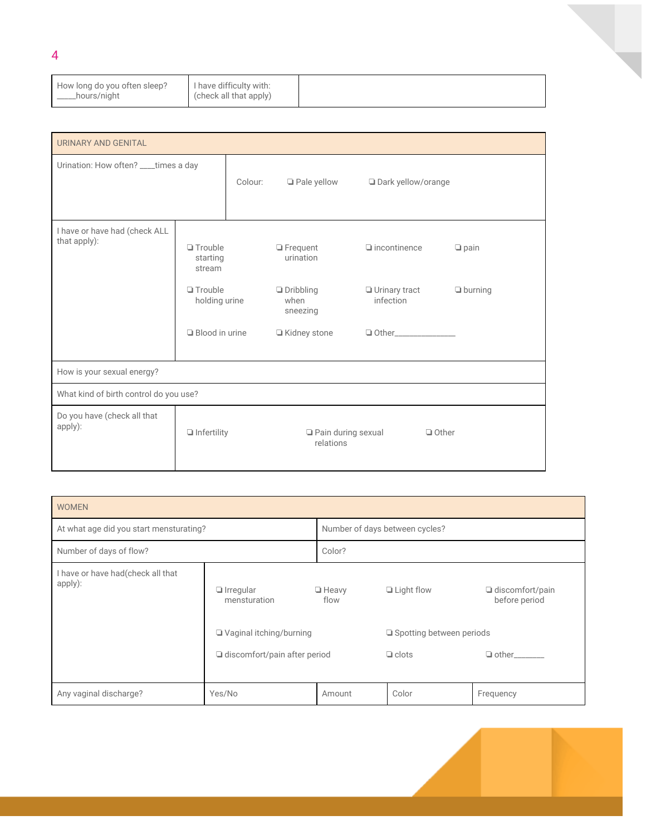| How long do you often sleep?<br>___hours/night | I have difficulty with:<br>(check all that apply) |  |
|------------------------------------------------|---------------------------------------------------|--|
|------------------------------------------------|---------------------------------------------------|--|

| URINARY AND GENITAL                           |                                                                         |  |                                                                      |                                                     |                               |  |
|-----------------------------------------------|-------------------------------------------------------------------------|--|----------------------------------------------------------------------|-----------------------------------------------------|-------------------------------|--|
|                                               | Urination: How often? ___ times a day                                   |  | Pale yellow                                                          | □ Dark yellow/orange                                |                               |  |
| I have or have had (check ALL<br>that apply): | $\Box$ Trouble<br>starting<br>stream<br>$\Box$ Trouble<br>holding urine |  | $\Box$ Frequent<br>urination<br>$\Box$ Dribbling<br>when<br>sneezing | $\Box$ incontinence<br>□ Urinary tract<br>infection | $\Box$ pain<br>$\Box$ burning |  |
|                                               | $\Box$ Blood in urine                                                   |  | □ Kidney stone                                                       |                                                     |                               |  |
| How is your sexual energy?                    |                                                                         |  |                                                                      |                                                     |                               |  |
| What kind of birth control do you use?        |                                                                         |  |                                                                      |                                                     |                               |  |
| Do you have (check all that<br>apply):        | $\Box$ Infertility                                                      |  | Pain during sexual<br>relations                                      | $\Box$ Other                                        |                               |  |

| <b>WOMEN</b>                                 |                                                                                                      |                      |                                                                                                                                 |           |  |  |  |
|----------------------------------------------|------------------------------------------------------------------------------------------------------|----------------------|---------------------------------------------------------------------------------------------------------------------------------|-----------|--|--|--|
| At what age did you start mensturating?      | Number of days between cycles?                                                                       |                      |                                                                                                                                 |           |  |  |  |
| Number of days of flow?                      | Color?                                                                                               |                      |                                                                                                                                 |           |  |  |  |
| I have or have had(check all that<br>apply): | $\Box$ Irregular<br>mensturation<br>□ Vaginal itching/burning<br>$\Box$ discomfort/pain after period | $\Box$ Heavy<br>flow | $\Box$ Light flow<br>$\Box$ discomfort/pain<br>before period<br>$\Box$ Spotting between periods<br>$\Box$ clots<br>$\Box$ other |           |  |  |  |
|                                              |                                                                                                      |                      |                                                                                                                                 |           |  |  |  |
| Any vaginal discharge?                       | Yes/No                                                                                               | Amount               | Color                                                                                                                           | Frequency |  |  |  |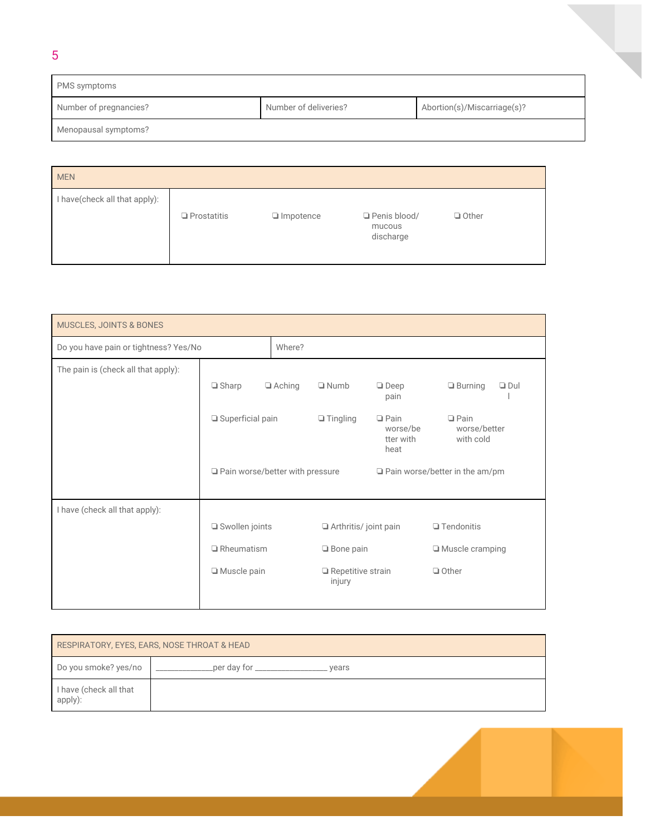| PMS symptoms           |                       |                             |
|------------------------|-----------------------|-----------------------------|
| Number of pregnancies? | Number of deliveries? | Abortion(s)/Miscarriage(s)? |
| Menopausal symptoms?   |                       |                             |

5

| <b>MEN</b>                    |                    |                  |                                     |              |
|-------------------------------|--------------------|------------------|-------------------------------------|--------------|
| I have(check all that apply): | $\Box$ Prostatitis | $\Box$ Impotence | Penis blood/<br>mucous<br>discharge | $\Box$ Other |

| <b>MUSCLES, JOINTS &amp; BONES</b>    |                                        |  |                                    |                                              |                                          |  |
|---------------------------------------|----------------------------------------|--|------------------------------------|----------------------------------------------|------------------------------------------|--|
| Do you have pain or tightness? Yes/No | Where?                                 |  |                                    |                                              |                                          |  |
| The pain is (check all that apply):   |                                        |  |                                    |                                              |                                          |  |
|                                       | $\Box$ Sharp<br>$\Box$ Aching          |  | $\Box$ Numb                        | $\Box$ Deep<br>pain                          | $\Box$ Burning<br>$\Box$ Dul             |  |
|                                       | $\Box$ Superficial pain                |  | $\Box$ Tingling                    | $\Box$ Pain<br>worse/be<br>tter with<br>heat | $\Box$ Pain<br>worse/better<br>with cold |  |
|                                       | $\Box$ Pain worse/better with pressure |  |                                    | $\Box$ Pain worse/better in the am/pm        |                                          |  |
| I have (check all that apply):        |                                        |  |                                    |                                              |                                          |  |
|                                       | □ Swollen joints                       |  | Arthritis/ joint pain              |                                              | $\Box$ Tendonitis                        |  |
|                                       | $\Box$ Rheumatism                      |  | $\Box$ Bone pain                   |                                              | $\Box$ Muscle cramping                   |  |
|                                       | Muscle pain                            |  | $\Box$ Repetitive strain<br>injury |                                              | $\Box$ Other                             |  |

| RESPIRATORY, EYES, EARS, NOSE THROAT & HEAD |                               |  |  |  |
|---------------------------------------------|-------------------------------|--|--|--|
| Do you smoke? yes/no                        | _per day for _______<br>vears |  |  |  |
| I have (check all that<br>apply):           |                               |  |  |  |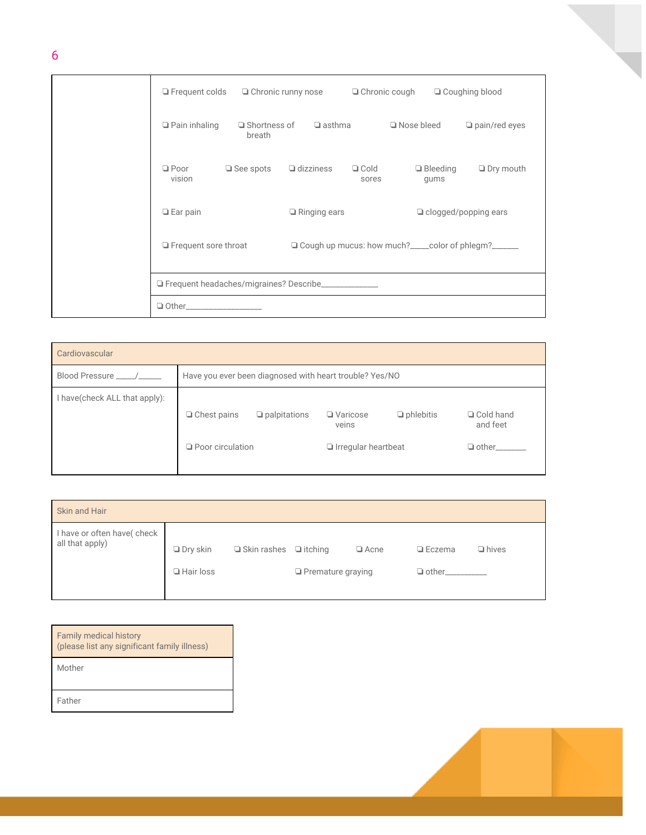| $\Box$ Frequent colds $\Box$ Chronic runny nose       |                               |                     | $\Box$ Chronic cough |                                                                                                             | □ Coughing blood            |
|-------------------------------------------------------|-------------------------------|---------------------|----------------------|-------------------------------------------------------------------------------------------------------------|-----------------------------|
| $\Box$ Pain inhaling                                  | $\Box$ Shortness of<br>breath | $\Box$ asthma       |                      | $\Box$ Nose bleed                                                                                           | $\Box$ pain/red eyes        |
| $\Box$ Poor<br>vision                                 | $\Box$ See spots              | $\Box$ dizziness    | $\Box$ Cold<br>sores | $\Box$ Bleeding<br>gums                                                                                     | $\Box$ Dry mouth            |
| $\Box$ Ear pain                                       |                               | $\Box$ Ringing ears |                      |                                                                                                             | $\Box$ clogged/popping ears |
| $\Box$ Frequent sore throat                           |                               |                     |                      | □ Cough up mucus: how much?<br><u>□ Cough up</u> mucus: how much? <u> section</u> color of phlegm?  section |                             |
| Frequent headaches/migraines? Describe_______________ |                               |                     |                      |                                                                                                             |                             |
| $\Box$ Other_____                                     |                               |                     |                      |                                                                                                             |                             |

| Cardiovascular                 |                                                         |                     |                                                        |                  |                                         |  |
|--------------------------------|---------------------------------------------------------|---------------------|--------------------------------------------------------|------------------|-----------------------------------------|--|
| Blood Pressure _____/_____     | Have you ever been diagnosed with heart trouble? Yes/NO |                     |                                                        |                  |                                         |  |
| I have (check ALL that apply): | $\Box$ Chest pains<br>$\Box$ Poor circulation           | $\Box$ palpitations | $\Box$ Varicose<br>veins<br>$\Box$ Irregular heartbeat | $\Box$ phlebitis | □ Cold hand<br>and feet<br>$\Box$ other |  |

| Skin and Hair                                 |                  |                                   |                          |             |               |              |
|-----------------------------------------------|------------------|-----------------------------------|--------------------------|-------------|---------------|--------------|
| I have or often have(check<br>all that apply) | $\Box$ Dry skin  | $\Box$ Skin rashes $\Box$ itching |                          | $\Box$ Acne | $\Box$ Eczema | $\Box$ hives |
|                                               | $\Box$ Hair loss |                                   | $\Box$ Premature graying |             | $\Box$ other  |              |

| <b>Family medical history</b><br>(please list any significant family illness) |
|-------------------------------------------------------------------------------|
| Mother                                                                        |
| Father                                                                        |

6